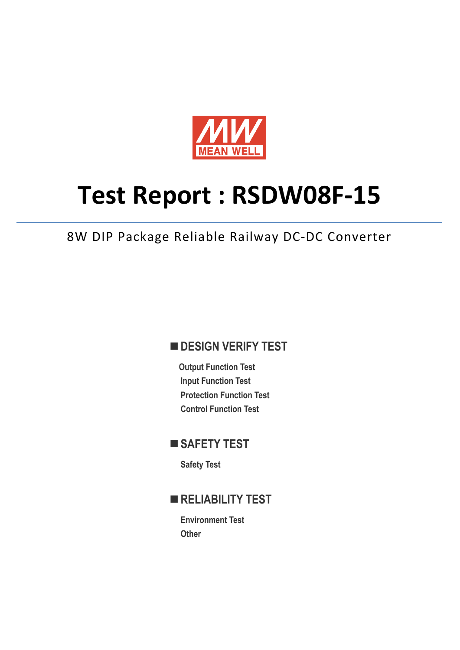

# **Test Report : RSDW08F-15**

8W DIP Package Reliable Railway DC-DC Converter

## **DESIGN VERIFY TEST**

**Output Function Test Input Function Test Protection Function Test Control Function Test** 

## ■ SAFETY TEST

**Safety Test** 

## **RELIABILITY TEST**

**Environment Test Other**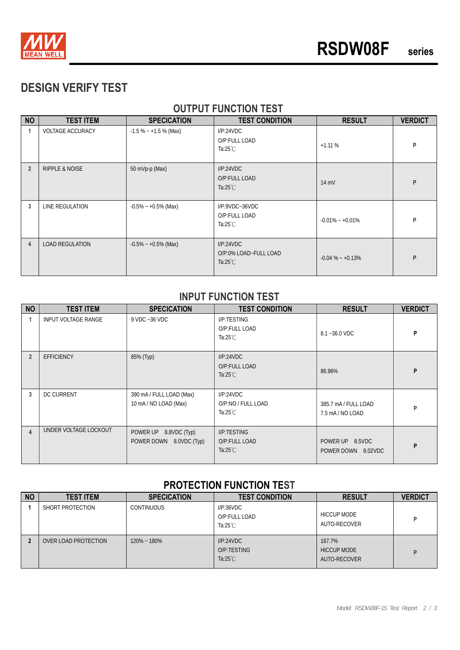

# **DESIGN VERIFY TEST**

#### **OUTPUT FUNCTION TEST**

| <b>NO</b>      | <b>TEST ITEM</b>          | <b>SPECICATION</b>      | <b>TEST CONDITION</b>                                    | <b>RESULT</b>       | <b>VERDICT</b> |
|----------------|---------------------------|-------------------------|----------------------------------------------------------|---------------------|----------------|
| 1              | <b>VOLTAGE ACCURACY</b>   | $-1.5\% - +1.5\%$ (Max) | I/P:24VDC<br>O/P:FULL LOAD<br>Ta:25 $°C$                 | $+1.11%$            | P              |
| $\overline{2}$ | <b>RIPPLE &amp; NOISE</b> | 50 mVp-p (Max)          | I/P:24VDC<br>O/P:FULL LOAD<br>Ta: $25^{\circ}$ C         | $14 \text{ mV}$     | P              |
| 3              | LINE REGULATION           | $-0.5\% - +0.5\%$ (Max) | $I/P$ :9VDC~36VDC<br>O/P:FULL LOAD<br>Ta:25 $°C$         | $-0.01\% - +0.01\%$ | P              |
| 4              | <b>LOAD REGULATION</b>    | $-0.5\% - +0.5\%$ (Max) | I/P:24VDC<br>O/P:0% LOAD~FULL LOAD<br>Ta: $25^{\circ}$ C | $-0.04\% - +0.13\%$ | P              |

#### **INPUT FUNCTION TEST**

| <b>NO</b>      | <b>TEST ITEM</b>      | <b>SPECICATION</b>                                | <b>TEST CONDITION</b>                                 | <b>RESULT</b>                            | <b>VERDICT</b> |
|----------------|-----------------------|---------------------------------------------------|-------------------------------------------------------|------------------------------------------|----------------|
|                | INPUT VOLTAGE RANGE   | 9 VDC ~36 VDC                                     | I/P:TESTING<br>O/P:FULL LOAD<br>Ta:25 $°C$            | 8.1~36.0 VDC                             | P              |
| $\overline{2}$ | <b>EFFICIENCY</b>     | 85% (Typ)                                         | I/P:24VDC<br>O/P:FULL LOAD<br>Ta: $25^{\circ}$ C      | 86.96%                                   | P              |
| 3              | <b>DC CURRENT</b>     | 390 mA / FULL LOAD (Max)<br>10 mA / NO LOAD (Max) | I/P:24VDC<br>O/P:NO / FULL LOAD<br>Ta: $25^{\circ}$ C | 385.7 mA / FULL LOAD<br>7.5 mA / NO LOAD | P              |
| $\overline{4}$ | UNDER VOLTAGE LOCKOUT | POWER UP 8.8VDC (Typ)<br>POWER DOWN 8.0VDC (Typ)  | I/P:TESTING<br>O/P:FULL LOAD<br>Ta: $25^{\circ}$ C    | POWER UP 8.5VDC<br>POWER DOWN 8.02VDC    | P              |

#### **PROTECTION FUNCTION TEST**

| <b>NO</b> | <b>TEST ITEM</b>     | <b>SPECICATION</b> | <b>TEST CONDITION</b>                            | <b>RESULT</b>                                | <b>VERDICT</b> |
|-----------|----------------------|--------------------|--------------------------------------------------|----------------------------------------------|----------------|
|           | SHORT PROTECTION     | <b>CONTINUOUS</b>  | I/P:36VDC<br>O/P:FULL LOAD<br>Ta: $25^{\circ}$ C | <b>HICCUP MODE</b><br>AUTO-RECOVER           | Þ              |
|           | OVER LOAD PROTECTION | $120\% - 180\%$    | I/P:24VDC<br>O/P:TESTING<br>Ta: $25^{\circ}$ C   | 167.7%<br><b>HICCUP MODE</b><br>AUTO-RECOVER | D              |